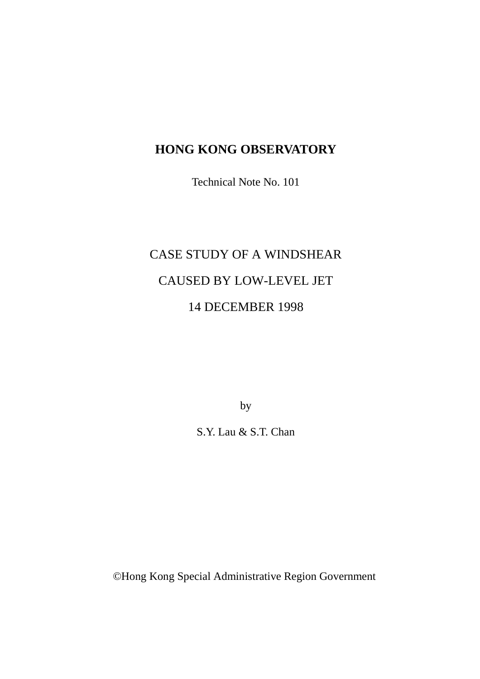# **HONG KONG OBSERVATORY**

Technical Note No. 101

# CASE STUDY OF A WINDSHEAR CAUSED BY LOW-LEVEL JET 14 DECEMBER 1998

by

S.Y. Lau & S.T. Chan

© Hong Kong Special Administrative Region Government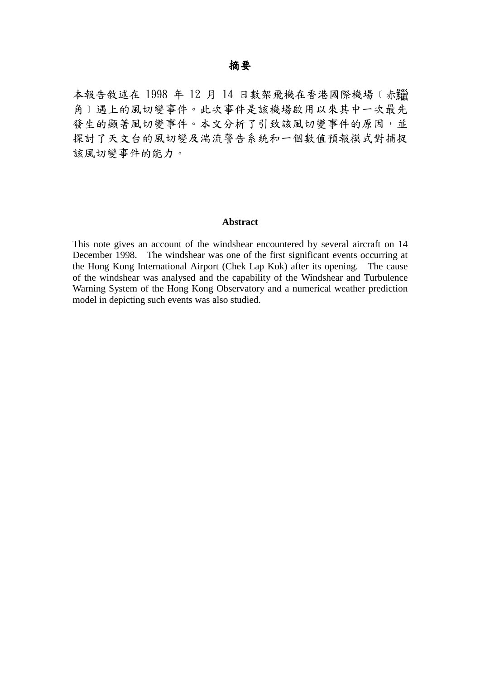#### 摘要

本報告敘述在 1998 年 12 月 14 日數架飛機在香港國際機場﹝赤 角〕遇上的風切變事件。此次事件是該機場啟用以來其中一次最先 發生的顯著風切變事件。本文分析了引致該風切變事件的原因,並 探討了天文台的風切變及湍流警告系統和一個數值預報模式對捕捉 該風切變事件的能力。

#### **Abstract**

This note gives an account of the windshear encountered by several aircraft on 14 December 1998. The windshear was one of the first significant events occurring at the Hong Kong International Airport (Chek Lap Kok) after its opening. The cause of the windshear was analysed and the capability of the Windshear and Turbulence Warning System of the Hong Kong Observatory and a numerical weather prediction model in depicting such events was also studied.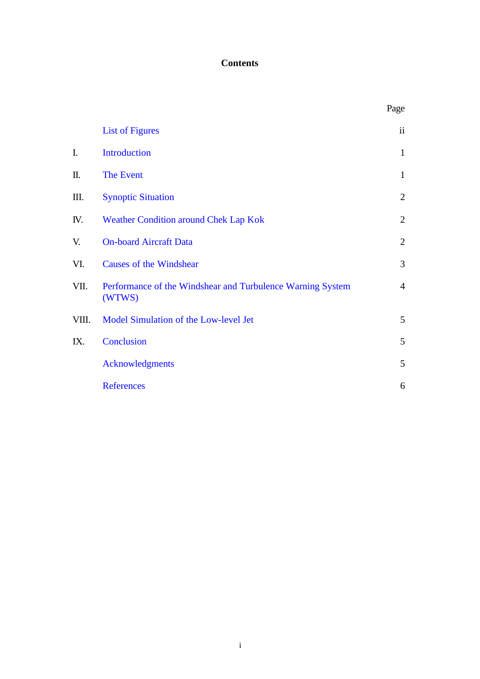## **Contents**

|       |                                                                      | Page           |
|-------|----------------------------------------------------------------------|----------------|
|       | <b>List of Figures</b>                                               | ii             |
| I.    | <b>Introduction</b>                                                  | $\mathbf{1}$   |
| П.    | The Event                                                            | $\mathbf{1}$   |
| Ш.    | <b>Synoptic Situation</b>                                            | $\mathbf{2}$   |
| IV.   | Weather Condition around Chek Lap Kok                                | $\overline{2}$ |
| V.    | <b>On-board Aircraft Data</b>                                        | $\overline{2}$ |
| VI.   | <b>Causes of the Windshear</b>                                       | 3              |
| VII.  | Performance of the Windshear and Turbulence Warning System<br>(WTWS) | $\overline{4}$ |
| VIII. | Model Simulation of the Low-level Jet                                | 5              |
| IX.   | Conclusion                                                           | 5              |
|       | <b>Acknowledgments</b>                                               | 5              |
|       | <b>References</b>                                                    | 6              |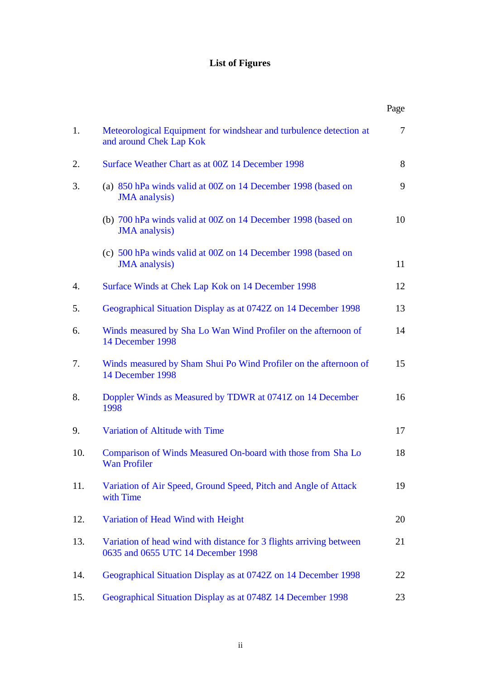# **List of Figures**

<span id="page-3-0"></span>

|     |                                                                                                           | Page           |
|-----|-----------------------------------------------------------------------------------------------------------|----------------|
| 1.  | Meteorological Equipment for windshear and turbulence detection at<br>and around Chek Lap Kok             | $\overline{7}$ |
| 2.  | Surface Weather Chart as at 00Z 14 December 1998                                                          | 8              |
| 3.  | (a) 850 hPa winds valid at 00Z on 14 December 1998 (based on<br><b>JMA</b> analysis)                      | 9              |
|     | (b) 700 hPa winds valid at 00Z on 14 December 1998 (based on<br><b>JMA</b> analysis)                      | 10             |
|     | (c) 500 hPa winds valid at 00Z on 14 December 1998 (based on<br><b>JMA</b> analysis)                      | 11             |
| 4.  | Surface Winds at Chek Lap Kok on 14 December 1998                                                         | 12             |
| 5.  | Geographical Situation Display as at 0742Z on 14 December 1998                                            | 13             |
| 6.  | Winds measured by Sha Lo Wan Wind Profiler on the afternoon of<br>14 December 1998                        | 14             |
| 7.  | Winds measured by Sham Shui Po Wind Profiler on the afternoon of<br>14 December 1998                      | 15             |
| 8.  | Doppler Winds as Measured by TDWR at 0741Z on 14 December<br>1998                                         | 16             |
| 9.  | Variation of Altitude with Time                                                                           | 17             |
| 10. | Comparison of Winds Measured On-board with those from Sha Lo<br>Wan Profiler                              | 18             |
| 11. | Variation of Air Speed, Ground Speed, Pitch and Angle of Attack<br>with Time                              | 19             |
| 12. | Variation of Head Wind with Height                                                                        | 20             |
| 13. | Variation of head wind with distance for 3 flights arriving between<br>0635 and 0655 UTC 14 December 1998 | 21             |
| 14. | Geographical Situation Display as at 0742Z on 14 December 1998                                            | 22             |
| 15. | Geographical Situation Display as at 0748Z 14 December 1998                                               | 23             |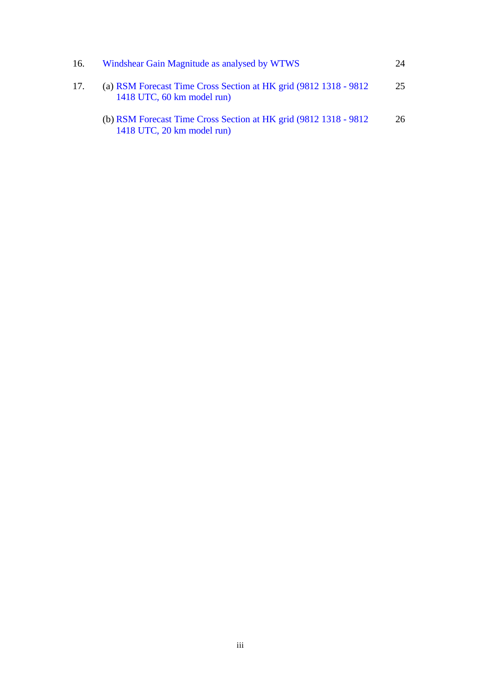| 16. | Windshear Gain Magnitude as analysed by WTWS                                                    | 24 |
|-----|-------------------------------------------------------------------------------------------------|----|
| 17. | (a) RSM Forecast Time Cross Section at HK grid (9812 1318 - 9812)<br>1418 UTC, 60 km model run) | 25 |
|     | (b) RSM Forecast Time Cross Section at HK grid (9812 1318 - 9812)<br>1418 UTC, 20 km model run) | 26 |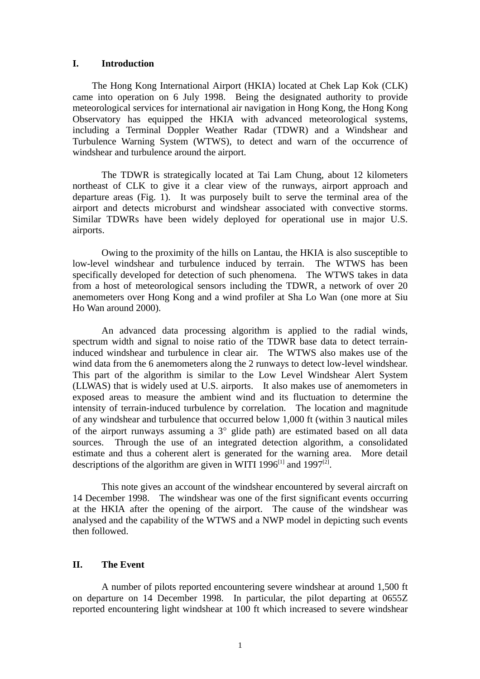#### <span id="page-5-0"></span>**I. Introduction**

The Hong Kong International Airport (HKIA) located at Chek Lap Kok (CLK) came into operation on 6 July 1998. Being the designated authority to provide meteorological services for international air navigation in Hong Kong, the Hong Kong Observatory has equipped the HKIA with advanced meteorological systems, including a Terminal Doppler Weather Radar (TDWR) and a Windshear and Turbulence Warning System (WTWS), to detect and warn of the occurrence of windshear and turbulence around the airport.

The TDWR is strategically located at Tai Lam Chung, about 12 kilometers northeast of CLK to give it a clear view of the runways, airport approach and departure areas (Fig. 1). It was purposely built to serve the terminal area of the airport and detects microburst and windshear associated with convective storms. Similar TDWRs have been widely deployed for operational use in major U.S. airports.

Owing to the proximity of the hills on Lantau, the HKIA is also susceptible to low-level windshear and turbulence induced by terrain. The WTWS has been specifically developed for detection of such phenomena. The WTWS takes in data from a host of meteorological sensors including the TDWR, a network of over 20 anemometers over Hong Kong and a wind profiler at Sha Lo Wan (one more at Siu Ho Wan around 2000).

An advanced data processing algorithm is applied to the radial winds, spectrum width and signal to noise ratio of the TDWR base data to detect terraininduced windshear and turbulence in clear air. The WTWS also makes use of the wind data from the 6 anemometers along the 2 runways to detect low-level windshear. This part of the algorithm is similar to the Low Level Windshear Alert System (LLWAS) that is widely used at U.S. airports. It also makes use of anemometers in exposed areas to measure the ambient wind and its fluctuation to determine the intensity of terrain-induced turbulence by correlation. The location and magnitude of any windshear and turbulence that occurred below 1,000 ft (within 3 nautical miles of the airport runways assuming a 3° glide path) are estimated based on all data sources. Through the use of an integrated detection algorithm, a consolidated estimate and thus a coherent alert is generated for the warning area. More detail descriptions of the algorithm are given in WITI 1996<sup>[1]</sup> and 1997<sup>[2]</sup>.

This note gives an account of the windshear encountered by several aircraft on 14 December 1998. The windshear was one of the first significant events occurring at the HKIA after the opening of the airport. The cause of the windshear was analysed and the capability of the WTWS and a NWP model in depicting such events then followed.

#### **II. The Event**

A number of pilots reported encountering severe windshear at around 1,500 ft on departure on 14 December 1998. In particular, the pilot departing at 0655Z reported encountering light windshear at 100 ft which increased to severe windshear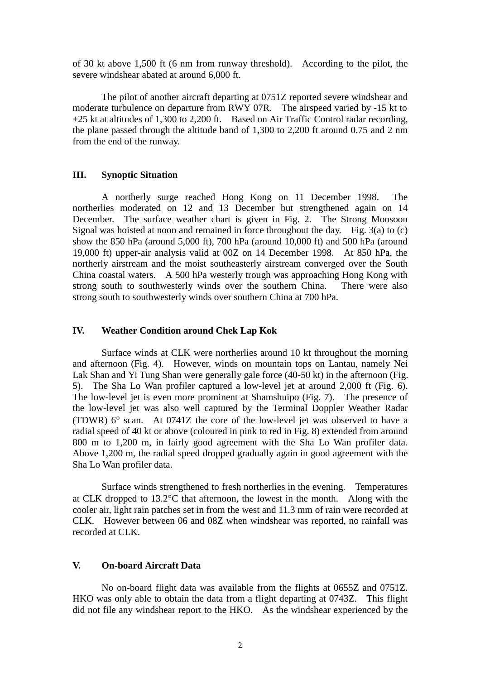<span id="page-6-0"></span>of 30 kt above 1,500 ft (6 nm from runway threshold). According to the pilot, the severe windshear abated at around 6,000 ft.

The pilot of another aircraft departing at 0751Z reported severe windshear and moderate turbulence on departure from RWY 07R. The airspeed varied by -15 kt to +25 kt at altitudes of 1,300 to 2,200 ft. Based on Air Traffic Control radar recording, the plane passed through the altitude band of 1,300 to 2,200 ft around 0.75 and 2 nm from the end of the runway.

#### **III. Synoptic Situation**

A northerly surge reached Hong Kong on 11 December 1998. The northerlies moderated on 12 and 13 December but strengthened again on 14 December. The surface weather chart is given in Fig. 2. The Strong Monsoon Signal was hoisted at noon and remained in force throughout the day. Fig. 3(a) to (c) show the 850 hPa (around 5,000 ft), 700 hPa (around 10,000 ft) and 500 hPa (around 19,000 ft) upper-air analysis valid at 00Z on 14 December 1998. At 850 hPa, the northerly airstream and the moist southeasterly airstream converged over the South China coastal waters. A 500 hPa westerly trough was approaching Hong Kong with strong south to southwesterly winds over the southern China. There were also strong south to southwesterly winds over southern China at 700 hPa.

#### **IV. Weather Condition around Chek Lap Kok**

Surface winds at CLK were northerlies around 10 kt throughout the morning and afternoon (Fig. 4). However, winds on mountain tops on Lantau, namely Nei Lak Shan and Yi Tung Shan were generally gale force (40-50 kt) in the afternoon (Fig. 5). The Sha Lo Wan profiler captured a low-level jet at around 2,000 ft (Fig. 6). The low-level jet is even more prominent at Shamshuipo (Fig. 7). The presence of the low-level jet was also well captured by the Terminal Doppler Weather Radar (TDWR) 6° scan. At 0741Z the core of the low-level jet was observed to have a radial speed of 40 kt or above (coloured in pink to red in Fig. 8) extended from around 800 m to 1,200 m, in fairly good agreement with the Sha Lo Wan profiler data. Above 1,200 m, the radial speed dropped gradually again in good agreement with the Sha Lo Wan profiler data.

Surface winds strengthened to fresh northerlies in the evening. Temperatures at CLK dropped to 13.2°C that afternoon, the lowest in the month. Along with the cooler air, light rain patches set in from the west and 11.3 mm of rain were recorded at CLK. However between 06 and 08Z when windshear was reported, no rainfall was recorded at CLK.

#### **V. On-board Aircraft Data**

No on-board flight data was available from the flights at 0655Z and 0751Z. HKO was only able to obtain the data from a flight departing at 0743Z. This flight did not file any windshear report to the HKO. As the windshear experienced by the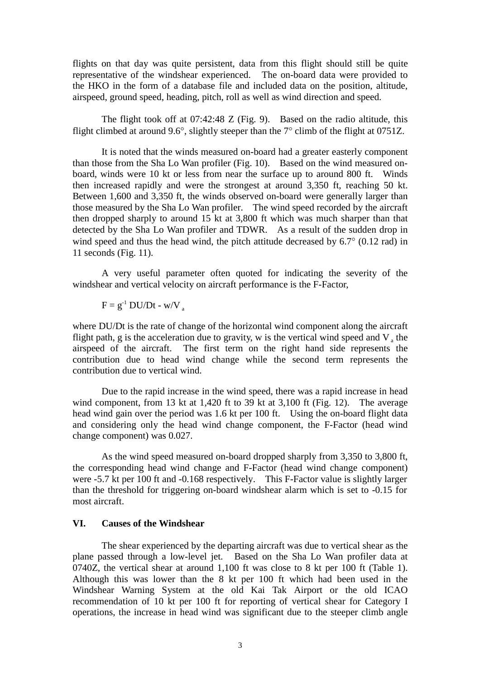<span id="page-7-0"></span>flights on that day was quite persistent, data from this flight should still be quite representative of the windshear experienced. The on-board data were provided to the HKO in the form of a database file and included data on the position, altitude, airspeed, ground speed, heading, pitch, roll as well as wind direction and speed.

The flight took off at 07:42:48 Z (Fig. 9). Based on the radio altitude, this flight climbed at around 9.6°, slightly steeper than the 7° climb of the flight at 0751Z.

It is noted that the winds measured on-board had a greater easterly component than those from the Sha Lo Wan profiler (Fig. 10). Based on the wind measured onboard, winds were 10 kt or less from near the surface up to around 800 ft. Winds then increased rapidly and were the strongest at around 3,350 ft, reaching 50 kt. Between 1,600 and 3,350 ft, the winds observed on-board were generally larger than those measured by the Sha Lo Wan profiler. The wind speed recorded by the aircraft then dropped sharply to around 15 kt at 3,800 ft which was much sharper than that detected by the Sha Lo Wan profiler and TDWR. As a result of the sudden drop in wind speed and thus the head wind, the pitch attitude decreased by 6.7° (0.12 rad) in 11 seconds (Fig. 11).

A very useful parameter often quoted for indicating the severity of the windshear and vertical velocity on aircraft performance is the F-Factor,

 $F = g^{-1} DU/Dt - w/V$ 

where DU/Dt is the rate of change of the horizontal wind component along the aircraft flight path, g is the acceleration due to gravity, w is the vertical wind speed and  $V_a$  the airspeed of the aircraft. The first term on the right hand side represents the contribution due to head wind change while the second term represents the contribution due to vertical wind.

Due to the rapid increase in the wind speed, there was a rapid increase in head wind component, from 13 kt at 1,420 ft to 39 kt at 3,100 ft (Fig. 12). The average head wind gain over the period was 1.6 kt per 100 ft. Using the on-board flight data and considering only the head wind change component, the F-Factor (head wind change component) was 0.027.

As the wind speed measured on-board dropped sharply from 3,350 to 3,800 ft, the corresponding head wind change and F-Factor (head wind change component) were -5.7 kt per 100 ft and -0.168 respectively. This F-Factor value is slightly larger than the threshold for triggering on-board windshear alarm which is set to -0.15 for most aircraft.

#### **VI. Causes of the Windshear**

The shear experienced by the departing aircraft was due to vertical shear as the plane passed through a low-level jet. Based on the Sha Lo Wan profiler data at 0740Z, the vertical shear at around 1,100 ft was close to 8 kt per 100 ft (Table 1). Although this was lower than the 8 kt per 100 ft which had been used in the Windshear Warning System at the old Kai Tak Airport or the old ICAO recommendation of 10 kt per 100 ft for reporting of vertical shear for Category I operations, the increase in head wind was significant due to the steeper climb angle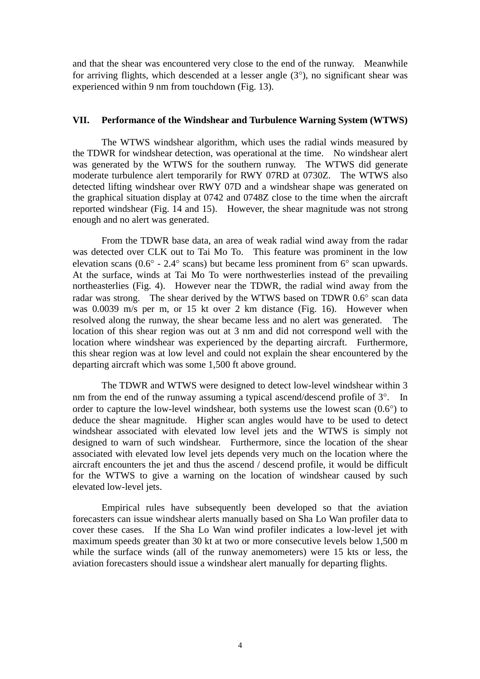<span id="page-8-0"></span>and that the shear was encountered very close to the end of the runway. Meanwhile for arriving flights, which descended at a lesser angle (3°), no significant shear was experienced within 9 nm from touchdown (Fig. 13).

#### **VII. Performance of the Windshear and Turbulence Warning System (WTWS)**

The WTWS windshear algorithm, which uses the radial winds measured by the TDWR for windshear detection, was operational at the time. No windshear alert was generated by the WTWS for the southern runway. The WTWS did generate moderate turbulence alert temporarily for RWY 07RD at 0730Z. The WTWS also detected lifting windshear over RWY 07D and a windshear shape was generated on the graphical situation display at 0742 and 0748Z close to the time when the aircraft reported windshear (Fig. 14 and 15). However, the shear magnitude was not strong enough and no alert was generated.

From the TDWR base data, an area of weak radial wind away from the radar was detected over CLK out to Tai Mo To. This feature was prominent in the low elevation scans (0.6° - 2.4° scans) but became less prominent from 6° scan upwards. At the surface, winds at Tai Mo To were northwesterlies instead of the prevailing northeasterlies (Fig. 4). However near the TDWR, the radial wind away from the radar was strong. The shear derived by the WTWS based on TDWR 0.6° scan data was 0.0039 m/s per m, or 15 kt over 2 km distance (Fig. 16). However when resolved along the runway, the shear became less and no alert was generated. The location of this shear region was out at 3 nm and did not correspond well with the location where windshear was experienced by the departing aircraft. Furthermore, this shear region was at low level and could not explain the shear encountered by the departing aircraft which was some 1,500 ft above ground.

The TDWR and WTWS were designed to detect low-level windshear within 3 nm from the end of the runway assuming a typical ascend/descend profile of  $3^{\circ}$ . In order to capture the low-level windshear, both systems use the lowest scan (0.6°) to deduce the shear magnitude. Higher scan angles would have to be used to detect windshear associated with elevated low level jets and the WTWS is simply not designed to warn of such windshear. Furthermore, since the location of the shear associated with elevated low level jets depends very much on the location where the aircraft encounters the jet and thus the ascend / descend profile, it would be difficult for the WTWS to give a warning on the location of windshear caused by such elevated low-level jets.

Empirical rules have subsequently been developed so that the aviation forecasters can issue windshear alerts manually based on Sha Lo Wan profiler data to cover these cases. If the Sha Lo Wan wind profiler indicates a low-level jet with maximum speeds greater than 30 kt at two or more consecutive levels below 1,500 m while the surface winds (all of the runway anemometers) were 15 kts or less, the aviation forecasters should issue a windshear alert manually for departing flights.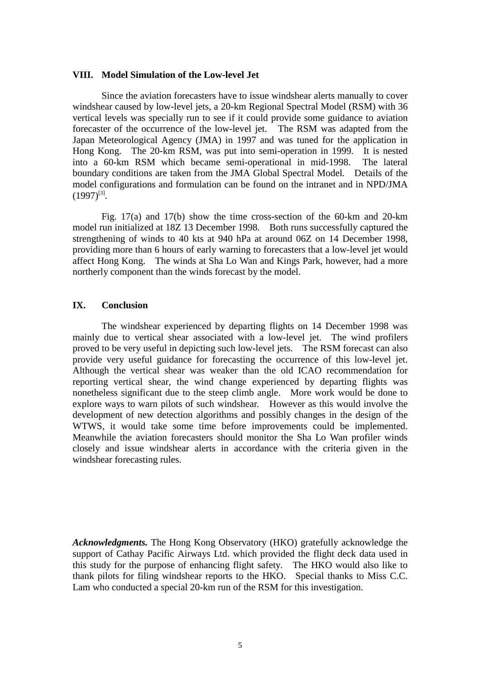#### <span id="page-9-0"></span>**VIII. Model Simulation of the Low-level Jet**

Since the aviation forecasters have to issue windshear alerts manually to cover windshear caused by low-level jets, a 20-km Regional Spectral Model (RSM) with 36 vertical levels was specially run to see if it could provide some guidance to aviation forecaster of the occurrence of the low-level jet. The RSM was adapted from the Japan Meteorological Agency (JMA) in 1997 and was tuned for the application in Hong Kong. The 20-km RSM, was put into semi-operation in 1999. It is nested into a 60-km RSM which became semi-operational in mid-1998. The lateral boundary conditions are taken from the JMA Global Spectral Model. Details of the model configurations and formulation can be found on the intranet and in NPD/JMA  $(1997)^{[3]}$ .

Fig. 17(a) and 17(b) show the time cross-section of the 60-km and 20-km model run initialized at 18Z 13 December 1998. Both runs successfully captured the strengthening of winds to 40 kts at 940 hPa at around 06Z on 14 December 1998, providing more than 6 hours of early warning to forecasters that a low-level jet would affect Hong Kong. The winds at Sha Lo Wan and Kings Park, however, had a more northerly component than the winds forecast by the model.

#### **IX. Conclusion**

The windshear experienced by departing flights on 14 December 1998 was mainly due to vertical shear associated with a low-level jet. The wind profilers proved to be very useful in depicting such low-level jets. The RSM forecast can also provide very useful guidance for forecasting the occurrence of this low-level jet. Although the vertical shear was weaker than the old ICAO recommendation for reporting vertical shear, the wind change experienced by departing flights was nonetheless significant due to the steep climb angle. More work would be done to explore ways to warn pilots of such windshear. However as this would involve the development of new detection algorithms and possibly changes in the design of the WTWS, it would take some time before improvements could be implemented. Meanwhile the aviation forecasters should monitor the Sha Lo Wan profiler winds closely and issue windshear alerts in accordance with the criteria given in the windshear forecasting rules.

*Acknowledgments.* The Hong Kong Observatory (HKO) gratefully acknowledge the support of Cathay Pacific Airways Ltd. which provided the flight deck data used in this study for the purpose of enhancing flight safety. The HKO would also like to thank pilots for filing windshear reports to the HKO. Special thanks to Miss C.C. Lam who conducted a special 20-km run of the RSM for this investigation.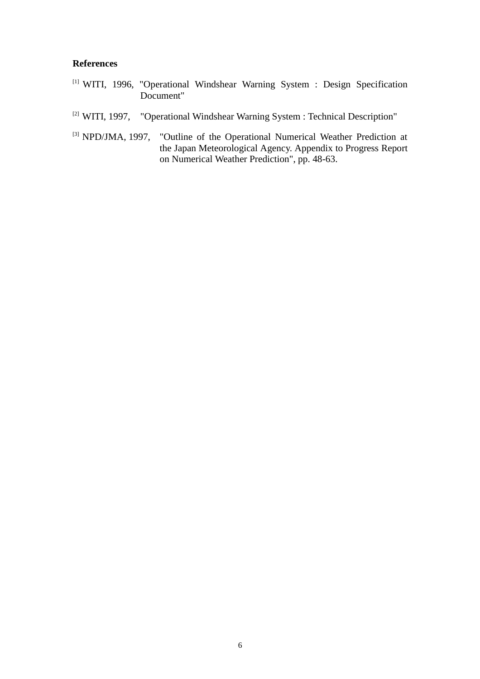#### <span id="page-10-0"></span>**References**

- [1] WITI, 1996, "Operational Windshear Warning System : Design Specification Document"
- [2] WITI, 1997, "Operational Windshear Warning System : Technical Description"
- [3] NPD/JMA, 1997, "Outline of the Operational Numerical Weather Prediction at the Japan Meteorological Agency. Appendix to Progress Report on Numerical Weather Prediction", pp. 48-63.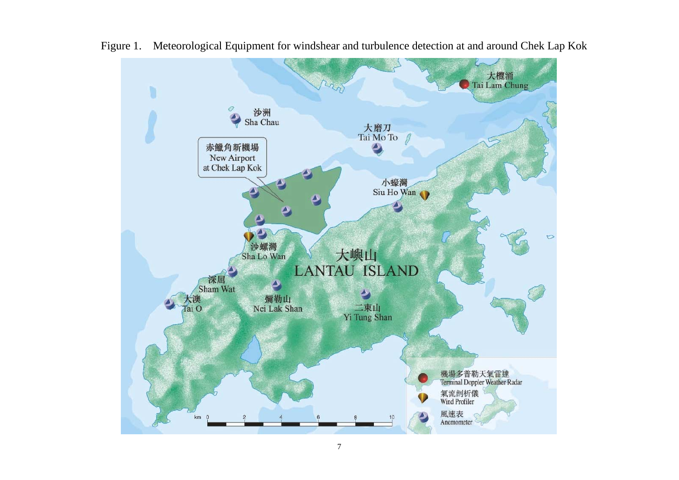

<span id="page-11-0"></span>Figure 1. Meteorological Equipment for windshear and turbulence detection at and around Chek Lap Kok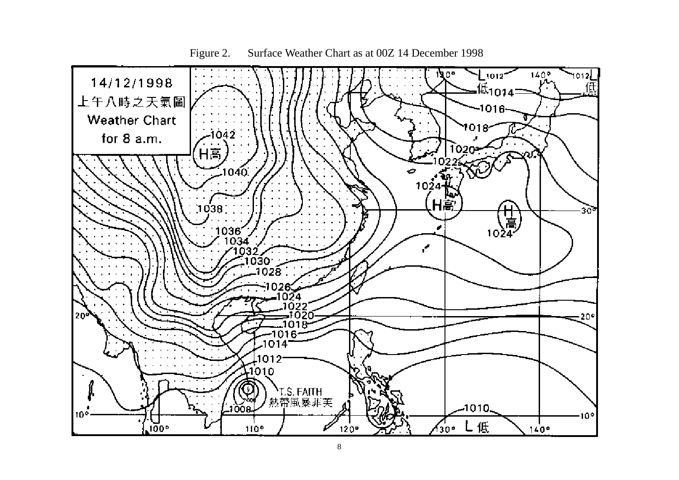<span id="page-12-0"></span>

Figure 2. Surface Weather Chart as at 00Z 14 December 1998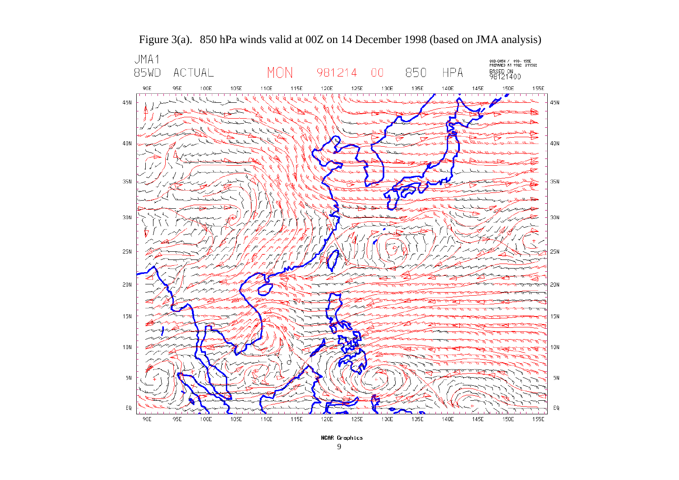<span id="page-13-0"></span>



NCAR Graphics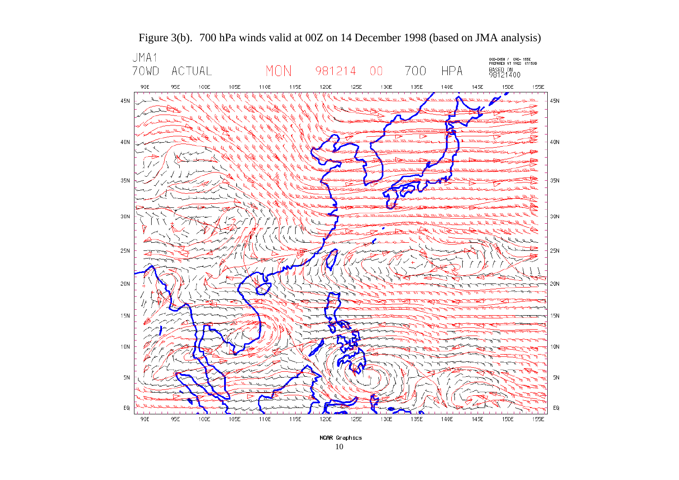<span id="page-14-0"></span>

Figure 3(b). 700 hPa winds valid at 00Z on 14 December 1998 (based on JMA analysis)

NCAR Graphics 10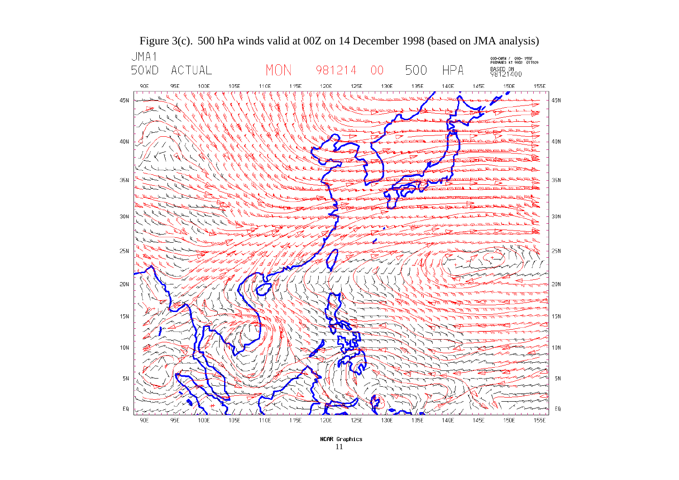<span id="page-15-0"></span>

11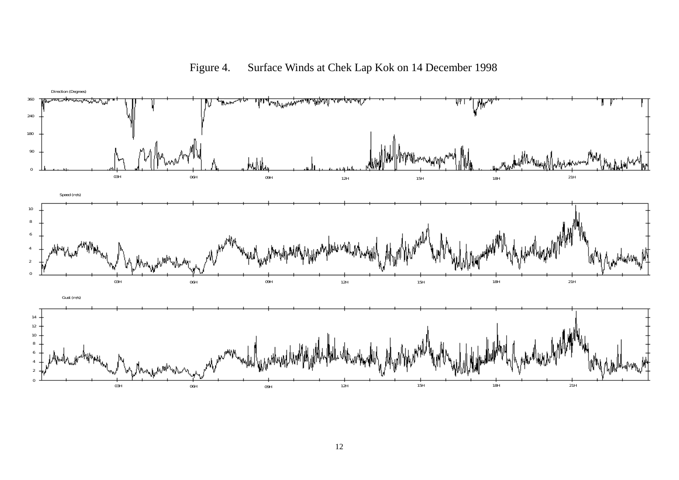<span id="page-16-0"></span>

Figure 4. Surface Winds at Chek Lap Kok on 14 December 1998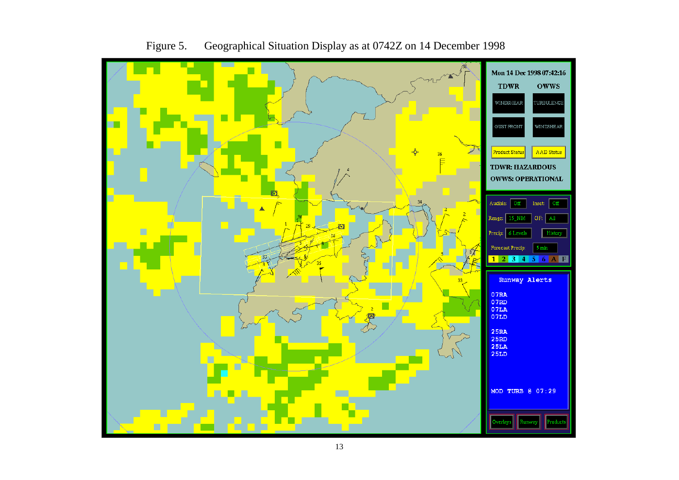<span id="page-17-0"></span>

Figure 5. Geographical Situation Display as at 0742Z on 14 December 1998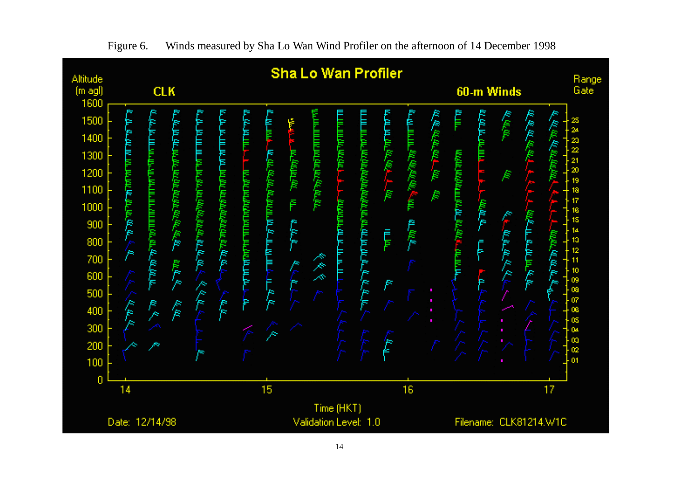<span id="page-18-0"></span>

Figure 6. Winds measured by Sha Lo Wan Wind Profiler on the afternoon of 14 December 1998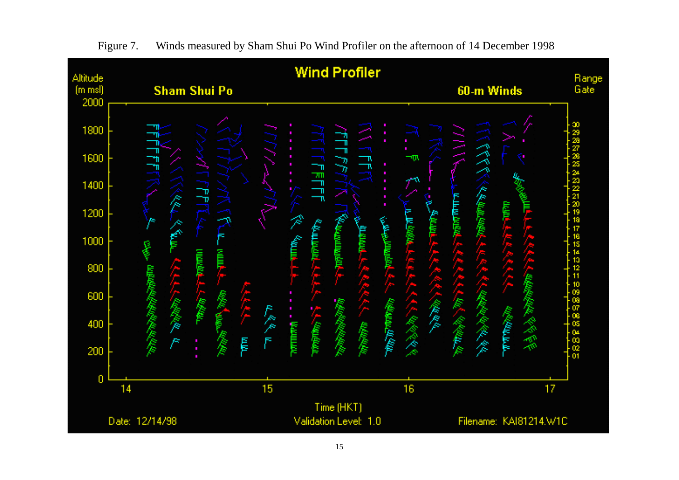<span id="page-19-0"></span>

Figure 7. Winds measured by Sham Shui Po Wind Profiler on the afternoon of 14 December 1998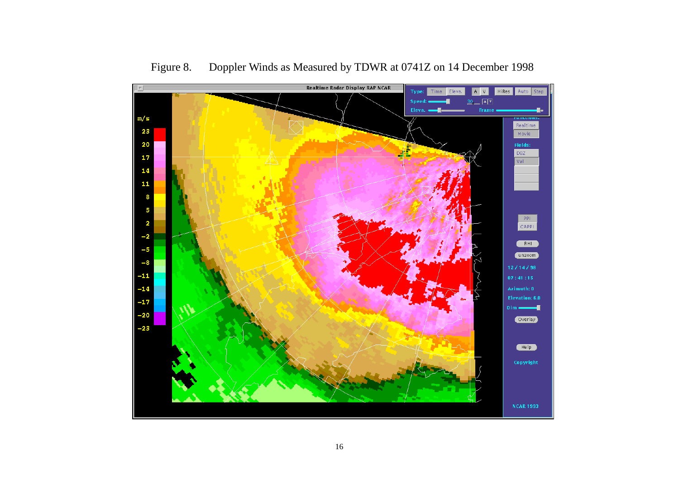<span id="page-20-0"></span>

Figure 8. Doppler Winds as Measured by TDWR at 0741Z on 14 December 1998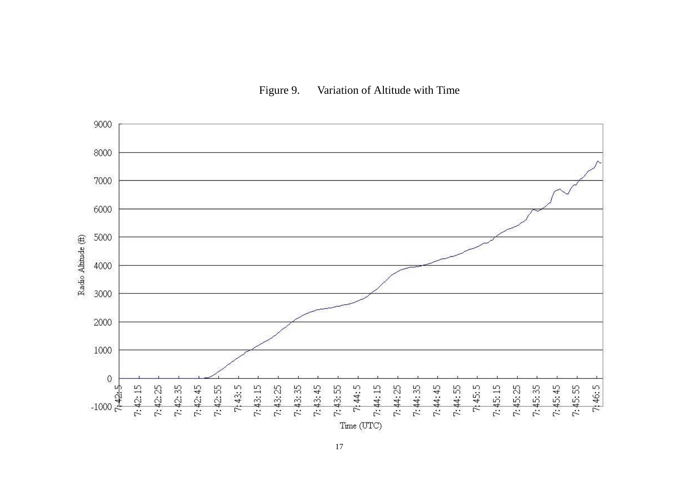

<span id="page-21-0"></span>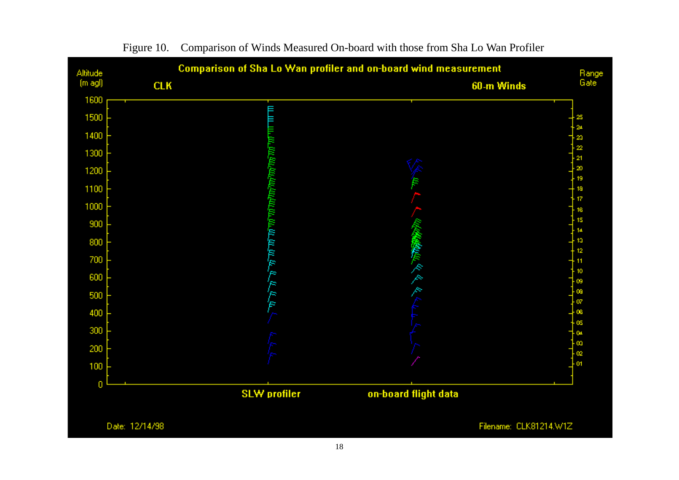<span id="page-22-0"></span>

Figure 10. Comparison of Winds Measured On-board with those from Sha Lo Wan Profiler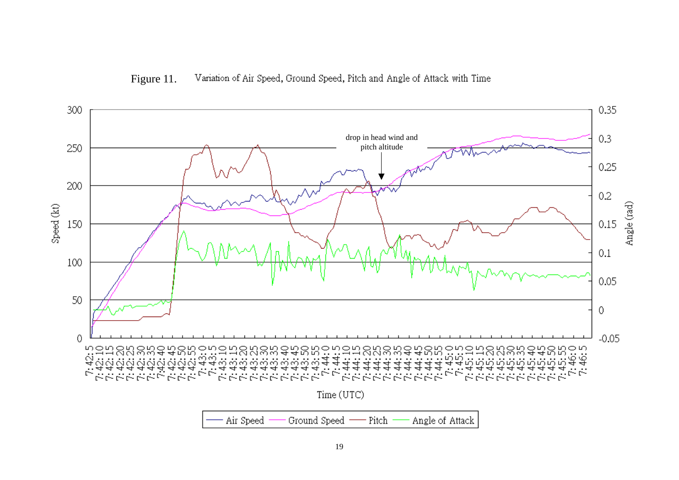

<span id="page-23-0"></span>

Air Speed Ground Speed Angle of Attack Pitch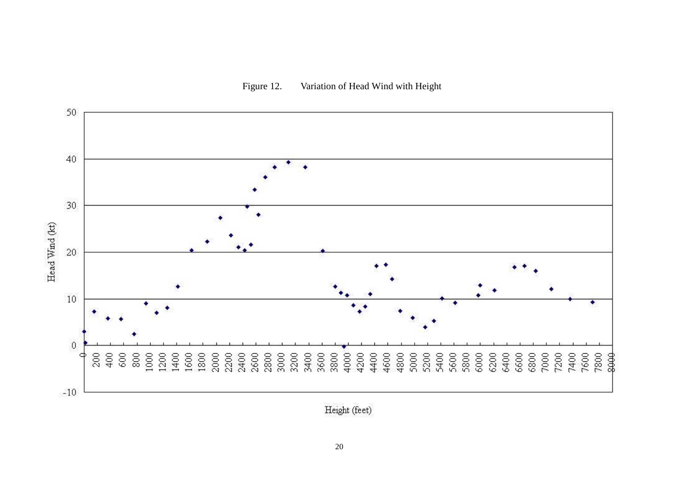

<span id="page-24-0"></span>

Height (feet)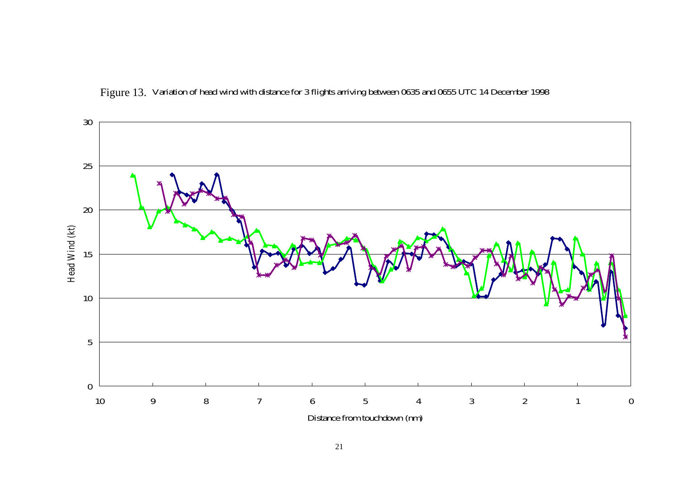<span id="page-25-0"></span>

Figure 13. Variation of head wind with distance for 3 flights arriving between 0635 and 0655 UTC 14 December 1998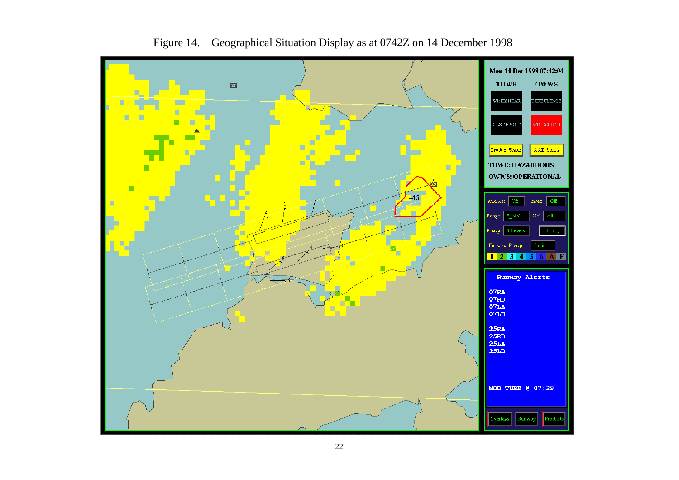<span id="page-26-0"></span>

Figure 14. Geographical Situation Display as at 0742Z on 14 December 1998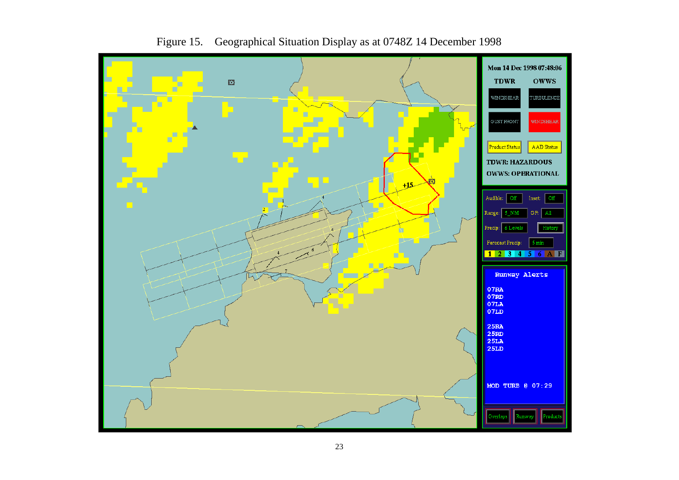<span id="page-27-0"></span>

Figure 15. Geographical Situation Display as at 0748Z 14 December 1998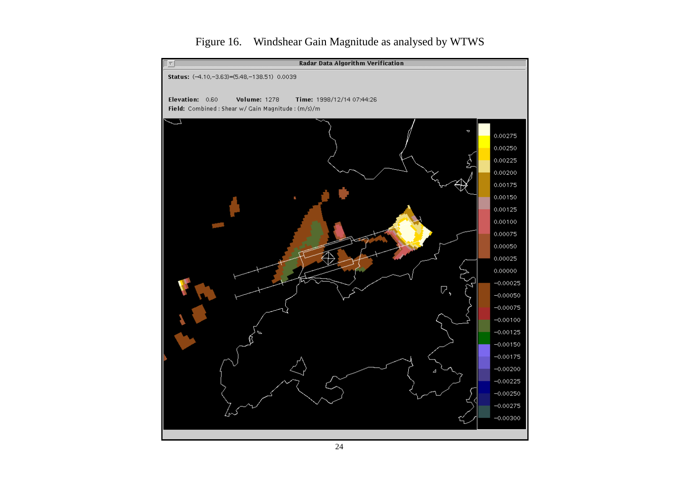<span id="page-28-0"></span>

# Figure 16. Windshear Gain Magnitude as analysed by WTWS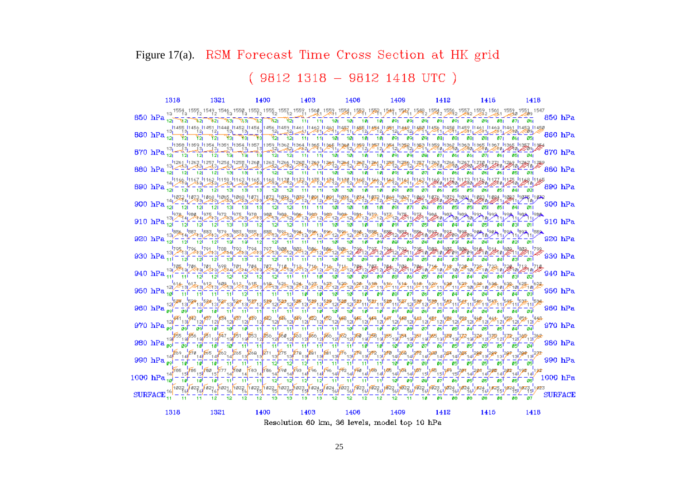### <span id="page-29-0"></span>Figure 17(a). RSM Forecast Time Cross Section at HK grid

 $(9812 1318 - 9812 1418 UTC)$ 

1318 1321 1400 1403 1406 1409 1412 1416 1418 <sub>19</sub> 1559<sub>3</sub> 1559<sub>2</sub> 1549<sub>2</sub> 1549<sub>3</sub> 1559<sub>3</sub> 1559<sub>2</sub> 1557<sub>2</sub> 1559<sub>1</sub> 15<u>9</u>9<sub>1</sub> 1589<sub>1</sub> 1589<sub>1</sub> 1589<sub>1</sub> 1589<sub>1</sub> 1589<sub>1</sub> 1589<sub>4</sub> 1589<sub>2</sub> 1589<sub>2</sub> 1589<sub>2</sub> 1589<sub>2</sub> 1589<sub>2</sub> 1589<sub>2</sub> 1589<sub>2</sub> 1589<sub>2</sub> 1589<sub>2</sub> 1589<sub>2</sub> 1589<sub>2</sub> 1589<sub>2</sub>  $650$  hPa $\frac{12}{121}$ 850 hPa ैेंπटा  $\frac{1}{891} - \frac{1}{891}$  $091 - 091$ mai  $Y_{21}$  11 11 19 10  $-10$  $10$  $091$ -891  $99$  $881$  $871$ Wzi Wzj. 860 hPa 870 hPa المحدد العام المحدد العام المحدد المحدد المحدد المحدد المحدد المحدد المحدد المحدد المحدد المحدد المحدد المحدد المحدد<br>المحدد المحدد المحدد المحدد المحدد المحدد المحدد المحدد المحدد المحدد المحدد المحدد المحدد المحدد المحدد المستخدم المستخدم المستخدمات المستخدمات المستخدمات المستخدمات المستخدمات المستخدمات المستخدمات المستخدمات المس<br>والمستخدمات المستخدمات المستخدمات المستخدمات المستخدمات المستخدمات المستخدمات المستخدمات المستخدمات المستخدمات 880 hPa تعداد عدوداً ويروداً ويروداً ويروداً وعدوداً وعدوداً وعدوداً عدوداً وعدوداً ويروداً ويروداً وعدوداً وعدوداً وعدوداً وعدوداً وعدوداً وعدوداً وعدوداً وعدوداً وعدوداً وعدوداً وعدوداً وعدوداً وعدوداً وعدوداً وعدوداً وعدوداً و 890 hPa 900 hPa  $13\nu$  $910 \text{ hPa } ^{100}_{120} = \text{hPa } ^{100}_{120} = \text{hPa } ^{100}_{120} = \text{hPa } ^{100}_{120} = \text{hPa } ^{100}_{120} = \text{hPa } ^{100}_{120} = \text{hPa } ^{100}_{120} = \text{hPa } ^{100}_{120} = \text{hPa } ^{100}_{120} = \text{hPa } ^{100}_{120} = \text{hPa } ^{100}_{120} = \text{hPa } ^{100}_{120} = \text{hPa } ^{100}_{1$  $910$  hPa  $941 - 931 - 911$ 920 hPa **i**sge isk 930 hPa  $04 - 04$  $\overline{g}$ al  $\overline{g}$ sl  $940$  hPa  $\overline{04}$  $\overline{04}$  $941$ **B**<sub>3</sub> 950 hPa - 951 - 941 841 1<sub>530</sub> 1<sub>530</sub> 960 hPa 而可 **Test Teal** = ಕ್ಯಗ = `ø51T Tø41 ื่อง **BAL**  $\frac{1}{4}$ 12I) 12I, 970 hPa T aift  $980 \text{ hPa}^{-19} = \frac{1}{18} = \frac{1}{18} = \frac{1}{18} = \frac{1}{18} = \frac{1}{18} = \frac{1}{18} = \frac{1}{18} = \frac{1}{18} = \frac{1}{18} = \frac{1}{18} = \frac{1}{18} = \frac{1}{18} = \frac{1}{18} = \frac{1}{18} = \frac{1}{18} = \frac{1}{18} = \frac{1}{18} = \frac{1}{18} = \frac{1}{18} = \frac{1}{18} = \frac{1}{18} = \frac{1}{18} = \frac{1}{18}$ 'ன آورم .54F <del>ہو</del>!  $980$  hPa - ait ் எட் ెత్ நி ுஞ ัสมี - ast \_ ।<br>1412<sup>288</sup> ।  $\frac{1}{14}$  $\frac{1}{2}$ 990 hPa 97 | 1,695 | 1<br>| 15|| 15||<br>| 08|| | 07| ¦⊯⁄r. جعزاءه 1000 hPa รส - శ  $\text{ SURFACE}^{\text{16}}_{\text{11}} = \frac{10}{11} - \frac{10}{11} - \frac{10}{12} - \frac{11}{12} - \frac{11}{12} - \frac{11}{12} - \frac{12}{12} - \frac{12}{12} - \frac{12}{12} - \frac{12}{12} - \frac{12}{12} - \frac{12}{12} - \frac{12}{12} - \frac{12}{12} - \frac{12}{12} - \frac{12}{12} - \frac{12}{12} - \frac{12}{12} - \frac{12}{12} - \frac{12}{12}$ ا 1925ء<br>'5' 1<mark>823 192</mark>3 J824 1,824 1,824. **SURFACE** 70 O 787 86 Ø8. 1321 1400 1403 1406 1409 1318 1412 1415 1418